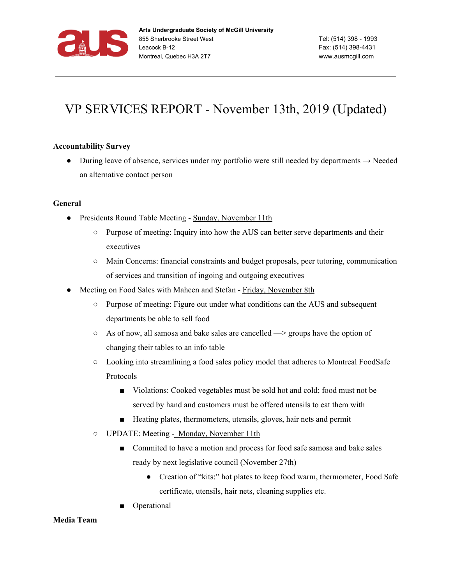

## VP SERVICES REPORT - November 13th, 2019 (Updated)

## **Accountability Survey**

• During leave of absence, services under my portfolio were still needed by departments  $\rightarrow$  Needed an alternative contact person

## **General**

- Presidents Round Table Meeting Sunday, November 11th
	- Purpose of meeting: Inquiry into how the AUS can better serve departments and their executives
	- Main Concerns: financial constraints and budget proposals, peer tutoring, communication of services and transition of ingoing and outgoing executives
- Meeting on Food Sales with Maheen and Stefan Friday, November 8th
	- Purpose of meeting: Figure out under what conditions can the AUS and subsequent departments be able to sell food
	- $\circ$  As of now, all samosa and bake sales are cancelled  $\rightarrow$  groups have the option of changing their tables to an info table
	- Looking into streamlining a food sales policy model that adheres to Montreal FoodSafe Protocols
		- Violations: Cooked vegetables must be sold hot and cold; food must not be served by hand and customers must be offered utensils to eat them with
		- Heating plates, thermometers, utensils, gloves, hair nets and permit
	- UPDATE: Meeting Monday, November 11th
		- Commited to have a motion and process for food safe samosa and bake sales ready by next legislative council (November 27th)
			- Creation of "kits:" hot plates to keep food warm, thermometer, Food Safe certificate, utensils, hair nets, cleaning supplies etc.
		- Operational

## **Media Team**